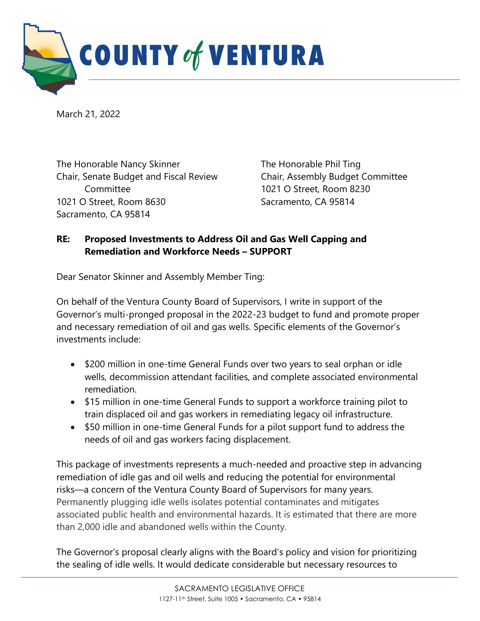

March 21, 2022

The Honorable Nancy Skinner Chair, Senate Budget and Fiscal Review Committee 1021 O Street, Room 8630 Sacramento, CA 95814

The Honorable Phil Ting Chair, Assembly Budget Committee 1021 O Street, Room 8230 Sacramento, CA 95814

## **RE: Proposed Investments to Address Oil and Gas Well Capping and Remediation and Workforce Needs – SUPPORT**

Dear Senator Skinner and Assembly Member Ting:

On behalf of the Ventura County Board of Supervisors, I write in support of the Governor's multi-pronged proposal in the 2022-23 budget to fund and promote proper and necessary remediation of oil and gas wells. Specific elements of the Governor's investments include:

- \$200 million in one-time General Funds over two years to seal orphan or idle wells, decommission attendant facilities, and complete associated environmental remediation.
- \$15 million in one-time General Funds to support a workforce training pilot to train displaced oil and gas workers in remediating legacy oil infrastructure.
- \$50 million in one-time General Funds for a pilot support fund to address the needs of oil and gas workers facing displacement.

This package of investments represents a much-needed and proactive step in advancing remediation of idle gas and oil wells and reducing the potential for environmental risks—a concern of the Ventura County Board of Supervisors for many years. Permanently plugging idle wells isolates potential contaminates and mitigates associated public health and environmental hazards. It is estimated that there are more than 2,000 idle and abandoned wells within the County.

The Governor's proposal clearly aligns with the Board's policy and vision for prioritizing the sealing of idle wells. It would dedicate considerable but necessary resources to